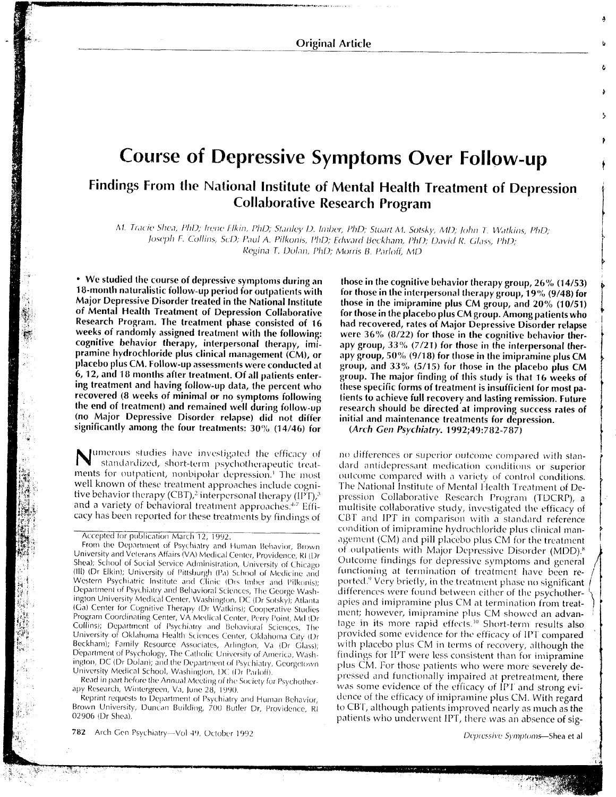**Original Article** 

# **Course of Depressive Symptoms Over Follow-up**

# Findings From the National Institute of Mental Health Treatment of Depression **Collaborative Research Program**

M. Tracie Shea, PhD; Irene Elkin, PhD; Stanley D. Imber, PhD; Stuart M. Sotsky, MD; John T. Watkins, PhD;

Joseph F. Collins, ScD; Paul A. Pilkonis, PhD; Edward Beckham, PhD; David R. Glass, PhD;

Regina T. Dolan, PhD; Morris B. Parloff, MD

• We studied the course of depressive symptoms during an 18-month naturalistic follow-up period for outpatients with Major Depressive Disorder treated in the National Institute of Mental Health Treatment of Depression Collaborative Research Program. The treatment phase consisted of 16 weeks of randomly assigned treatment with the following: cognitive behavior therapy, interpersonal therapy, imipramine hydrochloride plus clinical management (CM), or placebo plus CM. Follow-up assessments were conducted at 6, 12, and 18 months after treatment. Of all patients entering treatment and having follow-up data, the percent who recovered (8 weeks of minimal or no symptoms following the end of treatment) and remained well during follow-up (no Major Depressive Disorder relapse) did not differ significantly among the four treatments:  $30\%$  (14/46) for

umerous studies have investigated the efficacy of standardized, short-term psychotherapeutic treatments for outpatient, nonbipolar depression.<sup>1</sup> The most well known of these treatment approaches include cognitive behavior therapy (CBT),<sup>2</sup> interpersonal therapy (IPT),<sup>3</sup> and a variety of behavioral treatment approaches.<sup>4.7</sup> Efficacy has been reported for these treatments by findings of

From the Department of Psychiatry and Human Behavior, Brown University and Veterans Affairs (VA) Medical Center, Providence, RI (Dr Shea); School of Social Service Administration, University of Chicago (III) (Dr Elkin); University of Pittsburgh (Pa) School of Medicine and Western Psychiatric Institute and Clinic (Drs Imber and Pilkonis); Department of Psychiatry and Behavioral Sciences, The George Washington University Medical Center, Washington, DC (Dr Sotsky); Atlanta (Ga) Center for Cognitive Therapy (Dr Watkins); Cooperative Studies Program Coordinating Center, VA Medical Center, Perry Point, Md (Dr Collins); Department of Psychiatry and Behavioral Sciences, The University of Oklahoma Health Sciences Center, Oklahoma City (Dr Beckham); Family Resource Associates, Arlington, Va (Dr Glass); Department of Psychology, The Catholic University of America, Washington, DC (Dr Dolan); and the Department of Psychiatry, Georgetown University Medical School, Washington, DC (Dr Parloff).

Read in part before the Annual Meeting of the Society for Psychotherapy Research, Wintergreen, Va, June 28, 1990.

Reprint requests to Department of Psychiatry and Human Behavior, Brown University, Duncan Building, 700 Butler Dr, Providence, RI 02906 (Dr Shea)

782 Arch Gen Psychiatry-Vol 49, October 1992

those in the cognitive behavior therapy group, 26% (14/53) for those in the interpersonal therapy group, 19% (9/48) for those in the imipramine plus CM group, and 20% (10/51) for those in the placebo plus CM group. Among patients who had recovered, rates of Major Depressive Disorder relapse were  $36\%$  ( $8/22$ ) for those in the cognitive behavior therapy group,  $33\%$  (7/21) for those in the interpersonal therapy group, 50% (9/18) for those in the imipramine plus CM group, and 33% (5/15) for those in the placebo plus CM group. The major finding of this study is that 16 weeks of these specific forms of treatment is insufficient for most patients to achieve full recovery and lasting remission. Future research should be directed at improving success rates of initial and maintenance treatments for depression.

(Arch Gen Psychiatry. 1992;49:782-787)

no differences or superior outcome compared with standard antidepressant medication conditions or superior outcome compared with a variety of control conditions. The National Institute of Mental Health Treatment of Depression Collaborative Research Program (TDCRP), a multisite collaborative study, investigated the efficacy of CBT and IPT in comparison with a standard reference condition of imipramine hydrochloride plus clinical management (CM) and pill placebo plus CM for the treatment of outpatients with Major Depressive Disorder (MDD).<sup>8</sup> Outcome findings for depressive symptoms and general functioning at termination of treatment have been reported.<sup>9</sup> Very briefly, in the treatment phase no significant differences were found between either of the psychotherapies and imipramine plus CM at termination from treatment; however, imipramine plus CM showed an advantage in its more rapid effects.<sup>10</sup> Short-term results also provided some evidence for the efficacy of IPT compared with placebo plus CM in terms of recovery, although the findings for IPT were less consistent than for imipramine plus CM. For those patients who were more severely depressed and functionally impaired at pretreatment, there was some evidence of the efficacy of IPT and strong evidence of the efficacy of imipramine plus CM. With regard to CBT, although patients improved nearly as much as the patients who underwent IPT, there was an absence of sig-

Depressive Symptoms-Shea et al.

Accepted for publication March 12, 1992.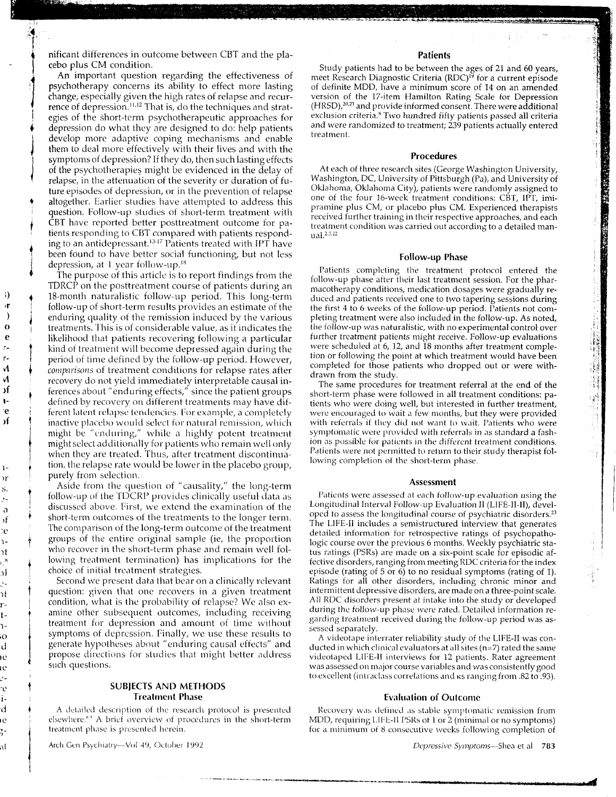nificant differences in outcome between CBT and the placebo plus CM condition.

An important question regarding the effectiveness of psychotherapy concerns its ability to effect more lasting change, especially given the high rates of relapse and recurrence of depression.<sup>11,12</sup> That is, do the techniques and strategies of the short-term psychotherapeutic approaches for depression do what they are designed to do: help patients develop more adaptive coping mechanisms and enable them to deal more effectively with their lives and with the symptoms of depression? If they do, then such lasting effects of the psychotherapies might be evidenced in the delay of relapse, in the attenuation of the severity or duration of future episodes of depression, or in the prevention of relapse altogether. Earlier studies have attempted to address this question. Follow-up studies of short-term treatment with CBT have reported better posttreatment outcome for patients responding to CBT compared with patients responding to an antidepressant.<sup>13-17</sup> Patients treated with IPT have been found to have better social functioning, but not less depression, at 1 year follow-up.<sup>18</sup>

The purpose of this article is to report findings from the TDRCP on the posttreatment course of patients during an 18-month naturalistic follow-up period. This long-term follow-up of short-term results provides an estimate of the enduring quality of the remission induced by the various treatments. This is of considerable value, as it indicates the likelihood that patients recovering following a particular kind of treatment will become depressed again during the period of time defined by the follow-up period. However, comparisons of treatment conditions for relapse rates after recovery do not yield immediately interpretable causal inferences about "enduring effects," since the patient groups defined by recovery on different treatments may have different latent relapse tendencies. For example, a completely inactive placebo would select for natural remission, which might be "enduring," while a highly potent treatment might select additionally for patients who remain well only when they are treated. Thus, after treatment discontinuation, the relapse rate would be lower in the placebo group, purely from selection.

Ð

١Ì

 $\mathbf 0$ 

e

ŕ٠

и

И

эf

ì.

e

эf

Σr

 $\mathfrak{a}$ 

Σf

e.

ìί

эI

ìt

r.

ŧ-

ì.

Ō

d

١Ċ

ιċ

ė

d

Ιē

al

Aside from the question of "causality," the long-term follow-up of the TDCRP provides clinically useful data as discussed above. First, we extend the examination of the short-term outcomes of the treatments to the longer term. The comparison of the long-term outcome of the treatment groups of the entire original sample (ie, the proportion who recover in the short-term phase and remain well following treatment termination) has implications for the choice of initial treatment strategies.

Second we present data that bear on a clinically relevant question: given that one recovers in a given treatment condition, what is the probability of relapse? We also examine other subsequent outcomes, including receiving treatment for depression and amount of time without symptoms of depression. Finally, we use these results to generate hypotheses about "enduring causal effects" and propose directions for studies that might better address such questions.

## **SUBJECTS AND METHODS Treatment Phase**

A detailed description of the research protocol is presented elsewhere.<sup>8,9</sup> A brief overview of procedures in the short-term treatment phase is presented herein.

Arch Gen Psychiatry-Vol 49, October 1992

### **Patients**

Study patients had to be between the ages of 21 and 60 years, meet Research Diagnostic Criteria (RDC)<sup>19</sup> for a current episode of definite MDD, have a minimum score of 14 on an amended version of the 17-item Hamilton Rating Scale for Depression (HRSD),<sup>20,21</sup> and provide informed consent. There were additional exclusion criteria.<sup>8</sup> Two hundred fifty patients passed all criteria and were randomized to treatment; 239 patients actually entered treatment.

#### Procedures

At each of three research sites (George Washington University, Washington, DC, University of Pittsburgh (Pa), and University of Oklahoma, Oklahoma City), patients were randomly assigned to one of the four 16-week treatment conditions: CBT, IPT, imipramine plus CM, or placebo plus CM. Experienced therapists received further training in their respective approaches, and each treatment condition was carried out according to a detailed man $ual.<sup>2,3,22</sup>$ 

#### **Follow-up Phase**

Patients completing the treatment protocol entered the follow-up phase after their last treatment session. For the pharmacotherapy conditions, medication dosages were gradually reduced and patients received one to two tapering sessions during the first 4 to 6 weeks of the follow-up period. Patients not completing treatment were also included in the follow-up. As noted, the follow-up was naturalistic, with no experimental control over further treatment patients might receive. Follow-up evaluations were scheduled at 6, 12, and 18 months after treatment completion or following the point at which treatment would have been completed for those patients who dropped out or were withdrawn from the study.

The same procedures for treatment referral at the end of the short-term phase were followed in all treatment conditions: patients who were doing well, but interested in further treatment, were encouraged to wait a few months, but they were provided with referrals if they did not want to wait. Patients who were symptomatic were provided with referrals in as standard a fashion as possible for patients in the different treatment conditions. Patients were not permitted to return to their study therapist following completion of the short-term phase.

#### Assessment

Patients were assessed at each follow-up evaluation using the Longitudinal Interval Follow-up Evaluation II (LIFE-II-II), developed to assess the longitudinal course of psychiatric disorders.<sup>23</sup> The LIFE-II includes a semistructured interview that generates detailed information for retrospective ratings of psychopathologic course over the previous 6 months. Weekly psychiatric status ratings (PSRs) are made on a six-point scale for episodic affective disorders, ranging from meeting RDC criteria for the index episode (rating of  $5$  or  $6$ ) to no residual symptoms (rating of 1). Ratings for all other disorders, including chronic minor and intermittent depressive disorders, are made on a three-point scale. All RDC disorders present at intake into the study or developed during the follow-up phase were rated. Detailed information regarding treatment received during the follow-up period was assessed separately.

A videotape interrater reliability study of the LIFE-II was conducted in which clinical evaluators at all sites  $(n=7)$  rated the same videotaped LIFE-II interviews for 12 patients. Rater agreement was assessed on major course variables and was consistently good to excellent (intraclass correlations and ks ranging from .82 to .93).

#### **Evaluation of Outcome**

Recovery was defined as stable symptomatic remission from MDD, requiring LIFE-II PSRs of 1 or 2 (minimal or no symptoms) for a minimum of 8 consecutive weeks following completion of

Depressive Symptoms-Shea et al 783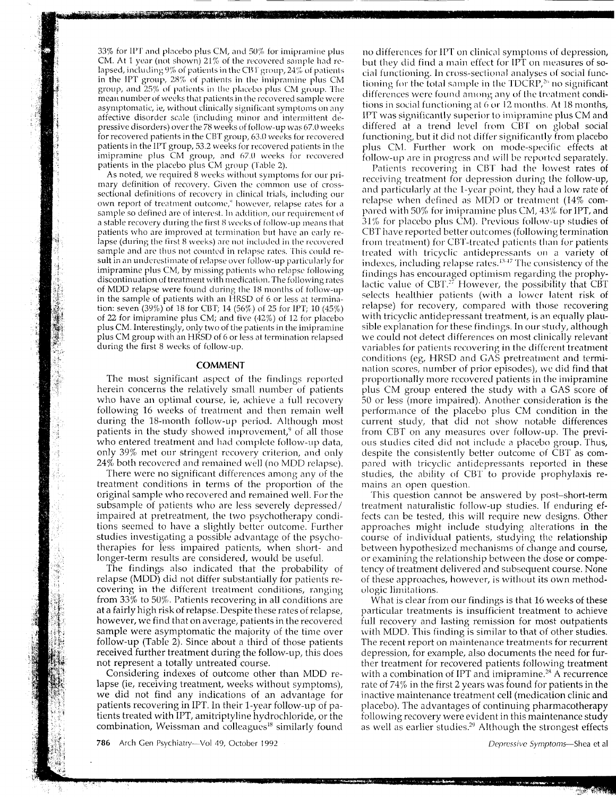

As noted, we required 8 weeks without symptoms for our primary definition of recovery. Given the common use of crosssectional definitions of recovery in clinical trials, including our own report of treatment outcome,<sup>9</sup> however, relapse rates for a sample so defined are of interest. In addition, our requirement of a stable recovery during the first 8 weeks of follow-up means that patients who are improved at termination but have an early relapse (during the first 8 weeks) are not included in the recovered sample and are thus not counted in relapse rates. This could result in an underestimate of relapse over follow-up particularly for imipramine plus CM, by missing patients who relapse following discontinuation of treatment with medication. The following rates of MDD relapse were found during the 18 months of follow-up in the sample of patients with an HRSD of 6 or less at termination: seven  $(39\%)$  of 18 for CBT; 14  $(56\%)$  of 25 for IPT; 10  $(45\%)$ of 22 for imipramine plus CM; and five  $(42%)$  of 12 for placebo plus CM. Interestingly, only two of the patients in the imipramine plus CM group with an HRSD of 6 or less at termination relapsed during the first 8 weeks of follow-up.

#### **COMMENT**

The most significant aspect of the findings reported herein concerns the relatively small number of patients who have an optimal course, ie, achieve a full recovery following 16 weeks of treatment and then remain well during the 18-month follow-up period. Although most patients in the study showed improvement,<sup>9</sup> of all those who entered treatment and had complete follow-up data, only 39% met our stringent recovery criterion, and only 24% both recovered and remained well (no MDD relapse).

There were no significant differences among any of the treatment conditions in terms of the proportion of the original sample who recovered and remained well. For the subsample of patients who are less severely depressed/ impaired at pretreatment, the two psychotherapy conditions seemed to have a slightly better outcome. Further studies investigating a possible advantage of the psychotherapies for less impaired patients, when short- and longer-term results are considered, would be useful.

The findings also indicated that the probability of relapse (MDD) did not differ substantially for patients recovering in the different treatment conditions, ranging from 33% to 50%. Patients recovering in all conditions are at a fairly high risk of relapse. Despite these rates of relapse, however, we find that on average, patients in the recovered sample were asymptomatic the majority of the time over follow-up (Table 2). Since about a third of those patients received further treatment during the follow-up, this does not represent a totally untreated course.

Considering indexes of outcome other than MDD relapse (ie, receiving treatment, weeks without symptoms), we did not find any indications of an advantage for patients recovering in IPT. In their 1-year follow-up of patients treated with IPT, amitriptyline hydrochloride, or the combination, Weissman and colleagues<sup>18</sup> similarly found

786 Arch Gen Psychiatry-Vol 49, October 1992

no differences for IPT on clinical symptoms of depression, but they did find a main effect for IPT on measures of social functioning. In cross-sectional analyses of social functioning for the total sample in the TDCRP,<sup>26</sup> no significant differences were found among any of the treatment conditions in social functioning at 6 or 12 months. At 18 months, IPT was significantly superior to imipramine plus CM and differed at a trend level from CBT on global social functioning, but it did not differ significantly from placebo plus CM. Further work on mode-specific effects at follow-up are in progress and will be reported separately.

Patients recovering in CBT had the lowest rates of receiving treatment for depression during the follow-up, and particularly at the 1-year point, they had a low rate of relapse when defined as MDD or treatment (14% compared with 50% for imipramine plus CM, 43% for IPT, and 31% for placebo plus CM). Previous follow-up studies of CBT have reported better outcomes (following termination from treatment) for CBT-treated patients than for patients treated with tricyclic antidepressants on a variety of indexes, including relapse rates.<sup>13-17</sup> The consistency of the findings has encouraged optimism regarding the prophylactic value of CBT.<sup>27</sup> However, the possibility that CBT selects healthier patients (with a lower latent risk of relapse) for recovery, compared with those recovering with tricyclic antidepressant treatment, is an equally plausible explanation for these findings. In our study, although we could not detect differences on most clinically relevant variables for patients recovering in the different treatment conditions (eg, HRSD and GAS pretreatment and termination scores, number of prior episodes), we did find that proportionally more recovered patients in the imipramine plus CM group entered the study with a GAS score of 50 or less (more impaired). Another consideration is the performance of the placebo plus CM condition in the current study, that did not show notable differences from CBT on any measures over follow-up. The previous studies cited did not include a placebo group. Thus, despite the consistently better outcome of CBT as compared with tricyclic antidepressants reported in these studies, the ability of CBT to provide prophylaxis remains an open question.

This question cannot be answered by post-short-term treatment naturalistic follow-up studies. If enduring effects can be tested, this will require new designs. Other approaches might include studying alterations in the course of individual patients, studying the relationship between hypothesized mechanisms of change and course, or examining the relationship between the dose or competency of treatment delivered and subsequent course. None of these approaches, however, is without its own methodologic limitations.

What is clear from our findings is that 16 weeks of these particular treatments is insufficient treatment to achieve full recovery and lasting remission for most outpatients with MDD. This finding is similar to that of other studies. The recent report on maintenance treatments for recurrent depression, for example, also documents the need for further treatment for recovered patients following treatment with a combination of IPT and imipramine.<sup>28</sup> A recurrence rate of 74% in the first 2 years was found for patients in the inactive maintenance treatment cell (medication clinic and placebo). The advantages of continuing pharmacotherapy following recovery were evident in this maintenance study as well as earlier studies.<sup>29</sup> Although the strongest effects

Depressive Symptoms-Shea et al